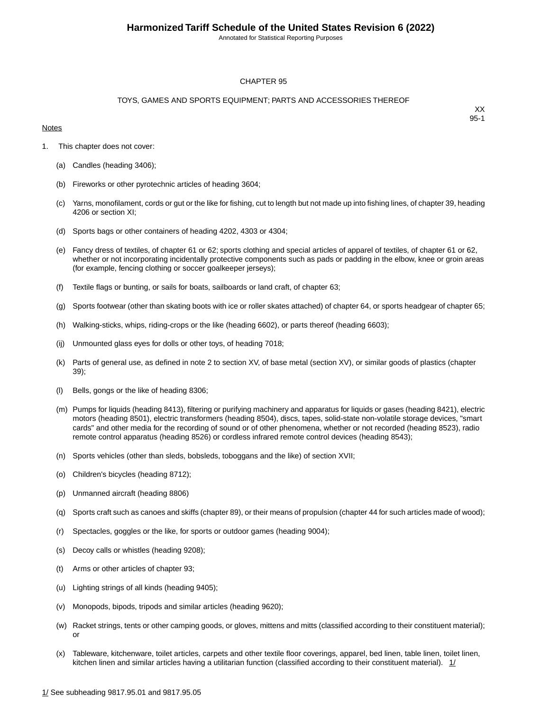Annotated for Statistical Reporting Purposes

#### CHAPTER 95

#### TOYS, GAMES AND SPORTS EQUIPMENT; PARTS AND ACCESSORIES THEREOF

#### **Notes**

- 1. This chapter does not cover:
	- (a) Candles (heading 3406);
	- (b) Fireworks or other pyrotechnic articles of heading 3604;
	- (c) Yarns, monofilament, cords or gut or the like for fishing, cut to length but not made up into fishing lines, of chapter 39, heading 4206 or section XI;
	- (d) Sports bags or other containers of heading 4202, 4303 or 4304;
	- (e) Fancy dress of textiles, of chapter 61 or 62; sports clothing and special articles of apparel of textiles, of chapter 61 or 62, whether or not incorporating incidentally protective components such as pads or padding in the elbow, knee or groin areas (for example, fencing clothing or soccer goalkeeper jerseys);
	- (f) Textile flags or bunting, or sails for boats, sailboards or land craft, of chapter 63;
	- (g) Sports footwear (other than skating boots with ice or roller skates attached) of chapter 64, or sports headgear of chapter 65;
	- (h) Walking-sticks, whips, riding-crops or the like (heading 6602), or parts thereof (heading 6603);
	- (ij) Unmounted glass eyes for dolls or other toys, of heading 7018;
	- (k) Parts of general use, as defined in note 2 to section XV, of base metal (section XV), or similar goods of plastics (chapter 39);
	- (l) Bells, gongs or the like of heading 8306;
	- (m) Pumps for liquids (heading 8413), filtering or purifying machinery and apparatus for liquids or gases (heading 8421), electric motors (heading 8501), electric transformers (heading 8504), discs, tapes, solid-state non-volatile storage devices, "smart cards" and other media for the recording of sound or of other phenomena, whether or not recorded (heading 8523), radio remote control apparatus (heading 8526) or cordless infrared remote control devices (heading 8543);
	- (n) Sports vehicles (other than sleds, bobsleds, toboggans and the like) of section XVII;
	- (o) Children's bicycles (heading 8712);
	- (p) Unmanned aircraft (heading 8806)
	- (q) Sports craft such as canoes and skiffs (chapter 89), or their means of propulsion (chapter 44 for such articles made of wood);
	- (r) Spectacles, goggles or the like, for sports or outdoor games (heading 9004);
	- (s) Decoy calls or whistles (heading 9208);
	- (t) Arms or other articles of chapter 93;
	- (u) Lighting strings of all kinds (heading 9405);
	- (v) Monopods, bipods, tripods and similar articles (heading 9620);
	- (w) Racket strings, tents or other camping goods, or gloves, mittens and mitts (classified according to their constituent material); or
	- (x) Tableware, kitchenware, toilet articles, carpets and other textile floor coverings, apparel, bed linen, table linen, toilet linen, kitchen linen and similar articles having a utilitarian function (classified according to their constituent material).  $1/$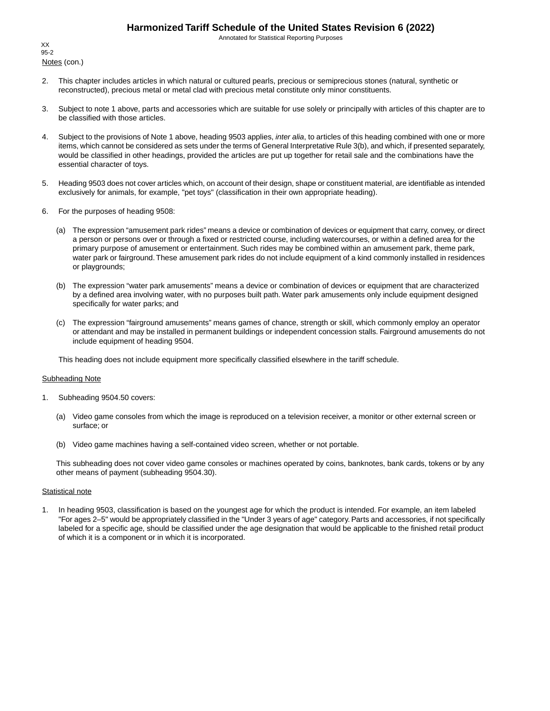Annotated for Statistical Reporting Purposes

Notes (con.) XX 95-2

- 2. This chapter includes articles in which natural or cultured pearls, precious or semiprecious stones (natural, synthetic or reconstructed), precious metal or metal clad with precious metal constitute only minor constituents.
- 3. Subject to note 1 above, parts and accessories which are suitable for use solely or principally with articles of this chapter are to be classified with those articles.
- 4. Subject to the provisions of Note 1 above, heading 9503 applies, *inter alia*, to articles of this heading combined with one or more items, which cannot be considered as sets under the terms of General Interpretative Rule 3(b), and which, if presented separately, would be classified in other headings, provided the articles are put up together for retail sale and the combinations have the essential character of toys.
- 5. Heading 9503 does not cover articles which, on account of their design, shape or constituent material, are identifiable as intended exclusively for animals, for example, "pet toys" (classification in their own appropriate heading).
- 6. For the purposes of heading 9508:
	- (a) The expression "amusement park rides" means a device or combination of devices or equipment that carry, convey, or direct a person or persons over or through a fixed or restricted course, including watercourses, or within a defined area for the primary purpose of amusement or entertainment. Such rides may be combined within an amusement park, theme park, water park or fairground.These amusement park rides do not include equipment of a kind commonly installed in residences or playgrounds;
	- (b) The expression "water park amusements" means a device or combination of devices or equipment that are characterized by a defined area involving water, with no purposes built path. Water park amusements only include equipment designed specifically for water parks; and
	- (c) The expression "fairground amusements" means games of chance, strength or skill, which commonly employ an operator or attendant and may be installed in permanent buildings or independent concession stalls. Fairground amusements do not include equipment of heading 9504.

This heading does not include equipment more specifically classified elsewhere in the tariff schedule.

#### Subheading Note

- 1. Subheading 9504.50 covers:
	- (a) Video game consoles from which the image is reproduced on a television receiver, a monitor or other external screen or surface; or
	- (b) Video game machines having a self-contained video screen, whether or not portable.

This subheading does not cover video game consoles or machines operated by coins, banknotes, bank cards, tokens or by any other means of payment (subheading 9504.30).

#### **Statistical note**

1. In heading 9503, classification is based on the youngest age for which the product is intended. For example, an item labeled "For ages 2–5" would be appropriately classified in the "Under 3 years of age" category. Parts and accessories, if not specifically labeled for a specific age, should be classified under the age designation that would be applicable to the finished retail product of which it is a component or in which it is incorporated.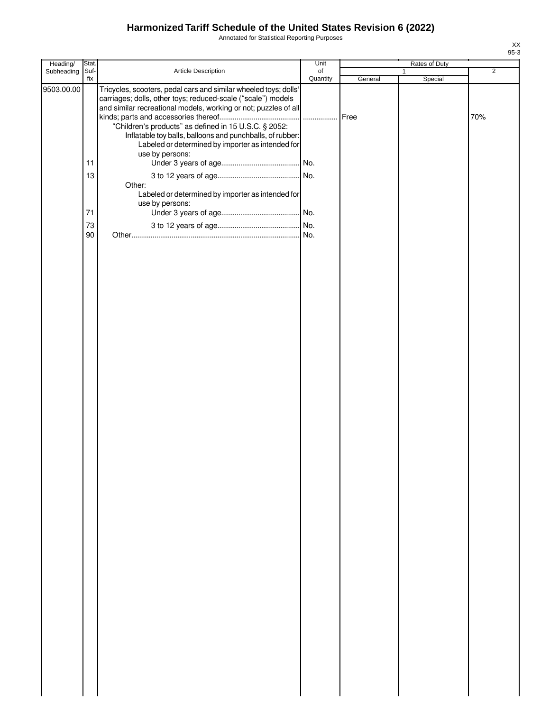Annotated for Statistical Reporting Purposes

| Heading/                 | Stat.                                     |                                                                                                                                                                                                                                                                                                                                                                                                                                                                                                            | Unit                |                 | Rates of Duty |                       |
|--------------------------|-------------------------------------------|------------------------------------------------------------------------------------------------------------------------------------------------------------------------------------------------------------------------------------------------------------------------------------------------------------------------------------------------------------------------------------------------------------------------------------------------------------------------------------------------------------|---------------------|-----------------|---------------|-----------------------|
|                          |                                           |                                                                                                                                                                                                                                                                                                                                                                                                                                                                                                            |                     |                 | $\mathbf{1}$  |                       |
| Subheading<br>9503.00.00 | Suf-<br>fix<br>11<br>13<br>71<br>73<br>90 | Article Description<br>Tricycles, scooters, pedal cars and similar wheeled toys; dolls'<br>carriages; dolls, other toys; reduced-scale ("scale") models<br>and similar recreational models, working or not; puzzles of all<br>"Children's products" as defined in 15 U.S.C. § 2052:<br>Inflatable toy balls, balloons and punchballs, of rubber:<br>Labeled or determined by importer as intended for<br>use by persons:<br>Other:<br>Labeled or determined by importer as intended for<br>use by persons: | of<br>Quantity<br>. | General<br>Free | Special       | $\overline{2}$<br>70% |
|                          |                                           |                                                                                                                                                                                                                                                                                                                                                                                                                                                                                                            |                     |                 |               |                       |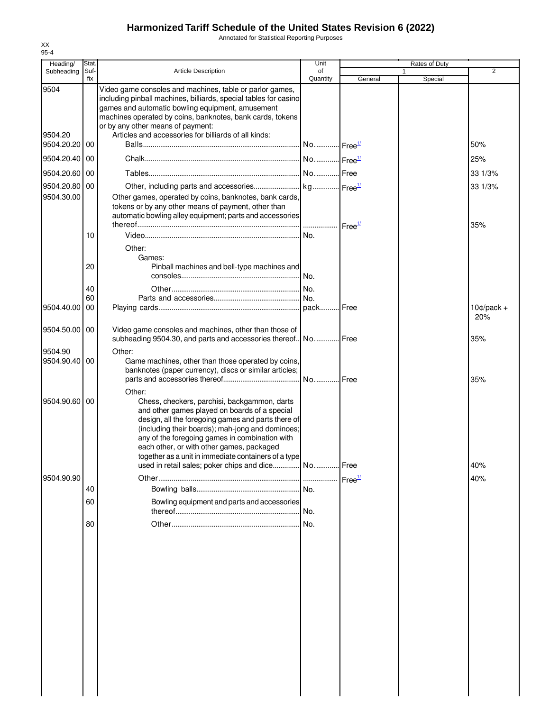Annotated for Statistical Reporting Purposes

| Heading/                      | Stat.       |                                                                                                                                                                                                                                                                                                                                                                                                                           | Unit                  |                    | Rates of Duty |                     |
|-------------------------------|-------------|---------------------------------------------------------------------------------------------------------------------------------------------------------------------------------------------------------------------------------------------------------------------------------------------------------------------------------------------------------------------------------------------------------------------------|-----------------------|--------------------|---------------|---------------------|
| Subheading                    | Suf-<br>fix | <b>Article Description</b>                                                                                                                                                                                                                                                                                                                                                                                                | of<br>Quantity        | General            | 1<br>Special  | $\overline{2}$      |
| 9504<br>9504.20<br>9504.20.20 | 00          | Video game consoles and machines, table or parlor games,<br>including pinball machines, billiards, special tables for casino<br>games and automatic bowling equipment, amusement<br>machines operated by coins, banknotes, bank cards, tokens<br>or by any other means of payment:<br>Articles and accessories for billiards of all kinds:                                                                                | No Free <sup>1/</sup> |                    |               | 50%                 |
| 9504.20.40 00                 |             |                                                                                                                                                                                                                                                                                                                                                                                                                           |                       |                    |               | 25%                 |
|                               |             |                                                                                                                                                                                                                                                                                                                                                                                                                           |                       |                    |               |                     |
| 9504.20.60                    | 00          |                                                                                                                                                                                                                                                                                                                                                                                                                           |                       |                    |               | 33 1/3%             |
| 9504.20.80 00<br>9504.30.00   |             | Other games, operated by coins, banknotes, bank cards,<br>tokens or by any other means of payment, other than<br>automatic bowling alley equipment; parts and accessories                                                                                                                                                                                                                                                 |                       |                    |               | 33 1/3%<br>35%      |
|                               | 10          | Other:<br>Games:                                                                                                                                                                                                                                                                                                                                                                                                          |                       |                    |               |                     |
|                               | 20<br>40    | Pinball machines and bell-type machines and                                                                                                                                                                                                                                                                                                                                                                               |                       |                    |               |                     |
|                               | 60          |                                                                                                                                                                                                                                                                                                                                                                                                                           |                       |                    |               |                     |
| 9504.40.00                    | 00          |                                                                                                                                                                                                                                                                                                                                                                                                                           |                       |                    |               | $10¢/pack +$<br>20% |
| 9504.50.00                    | 00          | Video game consoles and machines, other than those of<br>subheading 9504.30, and parts and accessories thereof. No                                                                                                                                                                                                                                                                                                        |                       | Free               |               | 35%                 |
| 9504.90<br>9504.90.40         | 00          | Other:<br>Game machines, other than those operated by coins,<br>banknotes (paper currency), discs or similar articles;                                                                                                                                                                                                                                                                                                    |                       |                    |               | 35%                 |
| 9504.90.60 00                 |             | Other:<br>Chess, checkers, parchisi, backgammon, darts<br>and other games played on boards of a special<br>design, all the foregoing games and parts there of<br>(including their boards); mah-jong and dominoes;<br>any of the foregoing games in combination with<br>each other, or with other games, packaged<br>together as a unit in immediate containers of a type<br>used in retail sales; poker chips and dice No |                       | Free               |               | 40%                 |
| 9504.90.90                    |             |                                                                                                                                                                                                                                                                                                                                                                                                                           |                       | Free <sup>1/</sup> |               | 40%                 |
|                               | 40          |                                                                                                                                                                                                                                                                                                                                                                                                                           | No.                   |                    |               |                     |
|                               | 60          | Bowling equipment and parts and accessories                                                                                                                                                                                                                                                                                                                                                                               |                       |                    |               |                     |
|                               | 80          |                                                                                                                                                                                                                                                                                                                                                                                                                           | No.<br>No.            |                    |               |                     |
|                               |             |                                                                                                                                                                                                                                                                                                                                                                                                                           |                       |                    |               |                     |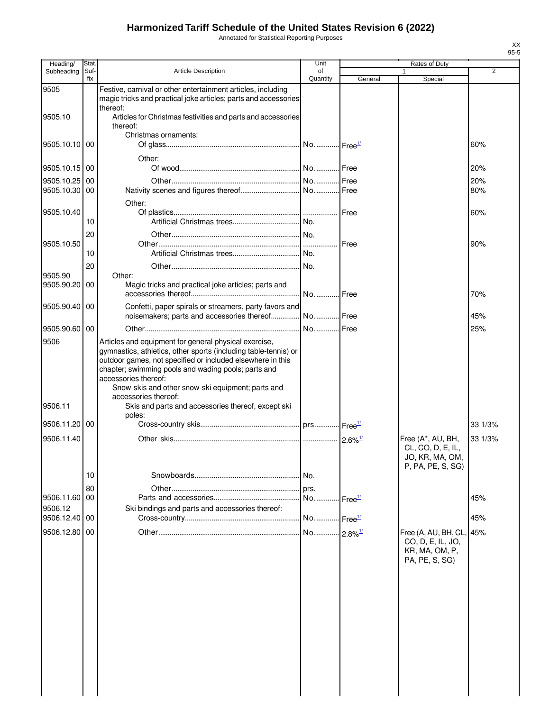Annotated for Statistical Reporting Purposes

| Stat.                                  |                                                                                                                                                                                                                                                                                                                            | Unit                                                                                                       |                                                                                                                                                                                                                             | Rates of Duty                                                                                                          |                                                                               |
|----------------------------------------|----------------------------------------------------------------------------------------------------------------------------------------------------------------------------------------------------------------------------------------------------------------------------------------------------------------------------|------------------------------------------------------------------------------------------------------------|-----------------------------------------------------------------------------------------------------------------------------------------------------------------------------------------------------------------------------|------------------------------------------------------------------------------------------------------------------------|-------------------------------------------------------------------------------|
| fix                                    |                                                                                                                                                                                                                                                                                                                            |                                                                                                            |                                                                                                                                                                                                                             |                                                                                                                        | $\overline{2}$                                                                |
|                                        | Festive, carnival or other entertainment articles, including                                                                                                                                                                                                                                                               |                                                                                                            |                                                                                                                                                                                                                             |                                                                                                                        |                                                                               |
|                                        | thereof:                                                                                                                                                                                                                                                                                                                   |                                                                                                            |                                                                                                                                                                                                                             |                                                                                                                        |                                                                               |
| l 00                                   |                                                                                                                                                                                                                                                                                                                            |                                                                                                            |                                                                                                                                                                                                                             |                                                                                                                        | 60%                                                                           |
|                                        |                                                                                                                                                                                                                                                                                                                            |                                                                                                            |                                                                                                                                                                                                                             |                                                                                                                        | 20%                                                                           |
| l 00                                   |                                                                                                                                                                                                                                                                                                                            |                                                                                                            |                                                                                                                                                                                                                             |                                                                                                                        | 20%<br>80%                                                                    |
| 10                                     |                                                                                                                                                                                                                                                                                                                            |                                                                                                            |                                                                                                                                                                                                                             |                                                                                                                        | 60%                                                                           |
| 20                                     |                                                                                                                                                                                                                                                                                                                            |                                                                                                            | Free                                                                                                                                                                                                                        |                                                                                                                        | 90%                                                                           |
| 10<br>20                               |                                                                                                                                                                                                                                                                                                                            |                                                                                                            |                                                                                                                                                                                                                             |                                                                                                                        |                                                                               |
| 00                                     | Other:<br>Magic tricks and practical joke articles; parts and                                                                                                                                                                                                                                                              |                                                                                                            |                                                                                                                                                                                                                             |                                                                                                                        | 70%                                                                           |
|                                        | noisemakers; parts and accessories thereof                                                                                                                                                                                                                                                                                 |                                                                                                            |                                                                                                                                                                                                                             |                                                                                                                        | 45%                                                                           |
|                                        |                                                                                                                                                                                                                                                                                                                            |                                                                                                            |                                                                                                                                                                                                                             |                                                                                                                        | 25%                                                                           |
|                                        | Articles and equipment for general physical exercise,<br>gymnastics, athletics, other sports (including table-tennis) or<br>outdoor games, not specified or included elsewhere in this<br>chapter; swimming pools and wading pools; parts and<br>accessories thereof:<br>Snow-skis and other snow-ski equipment; parts and |                                                                                                            |                                                                                                                                                                                                                             |                                                                                                                        |                                                                               |
|                                        | Skis and parts and accessories thereof, except ski<br>poles:                                                                                                                                                                                                                                                               |                                                                                                            |                                                                                                                                                                                                                             |                                                                                                                        |                                                                               |
| 00                                     |                                                                                                                                                                                                                                                                                                                            |                                                                                                            |                                                                                                                                                                                                                             |                                                                                                                        | 33 1/3%                                                                       |
|                                        |                                                                                                                                                                                                                                                                                                                            |                                                                                                            |                                                                                                                                                                                                                             | CL, CO, D, E, IL,<br>JO, KR, MA, OM,                                                                                   | 33 1/3%                                                                       |
| 10                                     |                                                                                                                                                                                                                                                                                                                            |                                                                                                            |                                                                                                                                                                                                                             |                                                                                                                        |                                                                               |
| 00                                     |                                                                                                                                                                                                                                                                                                                            | No                                                                                                         |                                                                                                                                                                                                                             |                                                                                                                        | 45%                                                                           |
|                                        | Ski bindings and parts and accessories thereof:                                                                                                                                                                                                                                                                            |                                                                                                            |                                                                                                                                                                                                                             |                                                                                                                        |                                                                               |
|                                        |                                                                                                                                                                                                                                                                                                                            |                                                                                                            |                                                                                                                                                                                                                             |                                                                                                                        | 45%                                                                           |
|                                        |                                                                                                                                                                                                                                                                                                                            |                                                                                                            |                                                                                                                                                                                                                             | CO, D, E, IL, JO,<br>KR, MA, OM, P,<br>PA, PE, S, SG)                                                                  |                                                                               |
| 9505.90.20<br>9506.11.20<br>9506.11.40 | Suf-<br>9505.10.10<br>9505.10.15 00<br>9505.10.25<br>9505.10.30 00<br>9505.10.40<br>9505.10.50<br>9505.90.40 00<br>9505.90.60 00<br>80<br>9506.11.60<br>9506.12.40<br>00<br>9506.12.80 00                                                                                                                                  | <b>Article Description</b><br>thereof:<br>Christmas ornaments:<br>Other:<br>Other:<br>accessories thereof: | of<br>Quantity<br>magic tricks and practical joke articles; parts and accessories<br>Articles for Christmas festivities and parts and accessories<br>Confetti, paper spirals or streamers, party favors and<br>INo.<br>prs. | General<br>.l Free<br>No Free<br>No Free<br>$2.6\%$ <sup>1/</sup><br>$\mathsf{I}$ Free $^{\underline{\mathsf{1\ell}}}$ | Special<br>Free (A*, AU, BH,<br>P, PA, PE, S, SG)<br>Free (A, AU, BH, CL, 45% |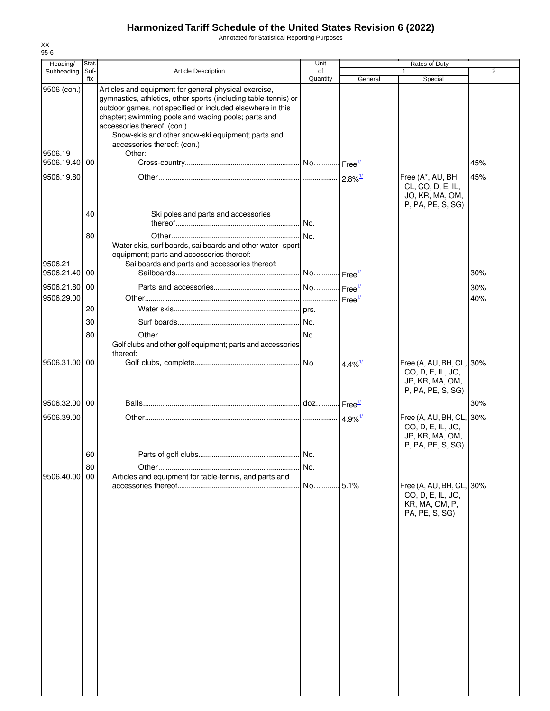Annotated for Statistical Reporting Purposes

| Heading/                                           | Stat.       |                                                                                                                                                                                                                                                                                                                                                                            | Unit           |         | Rates of Duty                                                                         |                |
|----------------------------------------------------|-------------|----------------------------------------------------------------------------------------------------------------------------------------------------------------------------------------------------------------------------------------------------------------------------------------------------------------------------------------------------------------------------|----------------|---------|---------------------------------------------------------------------------------------|----------------|
| Subheading                                         | Suf-<br>fix | <b>Article Description</b>                                                                                                                                                                                                                                                                                                                                                 | οf<br>Quantity | General | 1<br>Special                                                                          | $\overline{2}$ |
| 9506 (con.)<br>9506.19<br>9506.19.40<br>9506.19.80 | 00          | Articles and equipment for general physical exercise,<br>gymnastics, athletics, other sports (including table-tennis) or<br>outdoor games, not specified or included elsewhere in this<br>chapter; swimming pools and wading pools; parts and<br>accessories thereof: (con.)<br>Snow-skis and other snow-ski equipment; parts and<br>accessories thereof: (con.)<br>Other: |                |         | Free (A*, AU, BH,                                                                     | 45%<br>45%     |
|                                                    |             |                                                                                                                                                                                                                                                                                                                                                                            |                |         | CL, CO, D, E, IL,<br>JO, KR, MA, OM,<br>P, PA, PE, S, SG)                             |                |
|                                                    | 40<br>80    | Ski poles and parts and accessories                                                                                                                                                                                                                                                                                                                                        | No.            |         |                                                                                       |                |
| 9506.21<br>9506.21.40                              | 00          | Water skis, surf boards, sailboards and other water-sport<br>equipment; parts and accessories thereof:<br>Sailboards and parts and accessories thereof:                                                                                                                                                                                                                    |                |         |                                                                                       | 30%            |
| 9506.21.80 00                                      |             |                                                                                                                                                                                                                                                                                                                                                                            |                |         |                                                                                       | 30%            |
| 9506.29.00                                         |             |                                                                                                                                                                                                                                                                                                                                                                            |                |         |                                                                                       | 40%            |
|                                                    | 20          |                                                                                                                                                                                                                                                                                                                                                                            |                |         |                                                                                       |                |
|                                                    | 30          |                                                                                                                                                                                                                                                                                                                                                                            |                |         |                                                                                       |                |
|                                                    | 80          | Golf clubs and other golf equipment; parts and accessories<br>thereof:                                                                                                                                                                                                                                                                                                     |                |         |                                                                                       |                |
| 9506.31.00 00                                      |             |                                                                                                                                                                                                                                                                                                                                                                            |                |         | Free (A, AU, BH, CL, 30%<br>CO, D, E, IL, JO,<br>JP, KR, MA, OM,<br>P, PA, PE, S, SG) |                |
| 9506.32.00 00                                      |             |                                                                                                                                                                                                                                                                                                                                                                            |                |         |                                                                                       | 30%            |
| 9506.39.00                                         |             |                                                                                                                                                                                                                                                                                                                                                                            |                |         | Free (A, AU, BH, CL, 30%<br>CO, D, E, IL, JO,<br>JP, KR, MA, OM,<br>P, PA, PE, S, SG) |                |
|                                                    | 60          |                                                                                                                                                                                                                                                                                                                                                                            |                |         |                                                                                       |                |
|                                                    | 80          |                                                                                                                                                                                                                                                                                                                                                                            | No.            |         |                                                                                       |                |
| 9506.40.00                                         | 00          | Articles and equipment for table-tennis, and parts and                                                                                                                                                                                                                                                                                                                     | No 5.1%        |         | Free (A, AU, BH, CL, 30%<br>CO, D, E, IL, JO,<br>KR, MA, OM, P,<br>PA, PE, S, SG)     |                |
|                                                    |             |                                                                                                                                                                                                                                                                                                                                                                            |                |         |                                                                                       |                |
|                                                    |             |                                                                                                                                                                                                                                                                                                                                                                            |                |         |                                                                                       |                |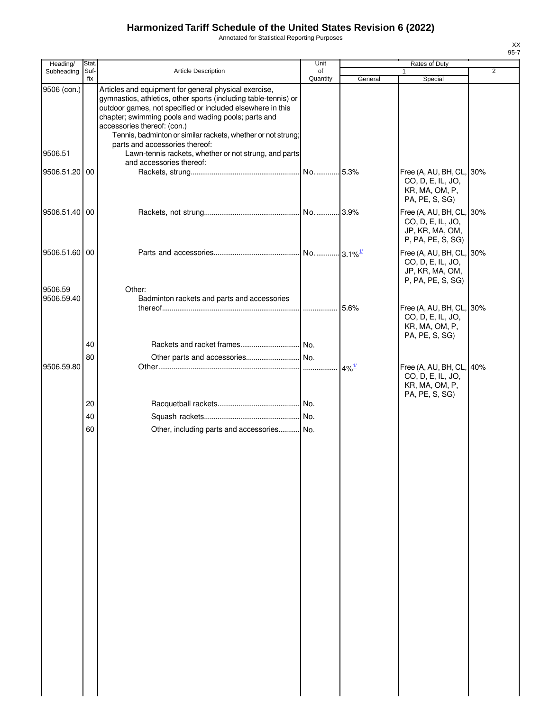Annotated for Statistical Reporting Purposes

| Heading/      | Stat. |                                                                                                                                                                                                                                                                                                                                                                                | Unit     |                     | Rates of Duty                                                                         |                |
|---------------|-------|--------------------------------------------------------------------------------------------------------------------------------------------------------------------------------------------------------------------------------------------------------------------------------------------------------------------------------------------------------------------------------|----------|---------------------|---------------------------------------------------------------------------------------|----------------|
| Subheading    | Suf-  | <b>Article Description</b>                                                                                                                                                                                                                                                                                                                                                     | of       |                     |                                                                                       | $\overline{2}$ |
| 9506 (con.)   | fix   | Articles and equipment for general physical exercise,<br>gymnastics, athletics, other sports (including table-tennis) or<br>outdoor games, not specified or included elsewhere in this<br>chapter; swimming pools and wading pools; parts and<br>accessories thereof: (con.)<br>Tennis, badminton or similar rackets, whether or not strung;<br>parts and accessories thereof: | Quantity | General             | Special                                                                               |                |
| 9506.51       |       | Lawn-tennis rackets, whether or not strung, and parts<br>and accessories thereof:                                                                                                                                                                                                                                                                                              |          |                     |                                                                                       |                |
| 9506.51.20 00 |       |                                                                                                                                                                                                                                                                                                                                                                                |          |                     | Free (A, AU, BH, CL, 30%<br>CO, D, E, IL, JO,<br>KR, MA, OM, P,<br>PA, PE, S, SG)     |                |
| 9506.51.40 00 |       |                                                                                                                                                                                                                                                                                                                                                                                |          |                     | Free (A, AU, BH, CL, 30%<br>CO, D, E, IL, JO,<br>JP, KR, MA, OM,<br>P, PA, PE, S, SG) |                |
| 9506.51.60 00 |       |                                                                                                                                                                                                                                                                                                                                                                                |          |                     | Free (A, AU, BH, CL, 30%<br>CO, D, E, IL, JO,<br>JP, KR, MA, OM,<br>P, PA, PE, S, SG) |                |
| 9506.59       |       | Other:                                                                                                                                                                                                                                                                                                                                                                         |          |                     |                                                                                       |                |
| 9506.59.40    |       | Badminton rackets and parts and accessories                                                                                                                                                                                                                                                                                                                                    |          | 5.6%                | Free (A, AU, BH, CL, 30%<br>CO, D, E, IL, JO,<br>KR, MA, OM, P,<br>PA, PE, S, SG)     |                |
|               | 40    |                                                                                                                                                                                                                                                                                                                                                                                |          |                     |                                                                                       |                |
|               | 80    |                                                                                                                                                                                                                                                                                                                                                                                |          |                     |                                                                                       |                |
| 9506.59.80    |       |                                                                                                                                                                                                                                                                                                                                                                                |          | $4\%$ <sup>1/</sup> | Free (A, AU, BH, CL, 40%<br>CO, D, E, IL, JO,<br>KR, MA, OM, P,<br>PA, PE, S, SG)     |                |
|               | 20    |                                                                                                                                                                                                                                                                                                                                                                                |          |                     |                                                                                       |                |
|               | 40    |                                                                                                                                                                                                                                                                                                                                                                                |          |                     |                                                                                       |                |
|               | 60    | Other, including parts and accessories No.                                                                                                                                                                                                                                                                                                                                     |          |                     |                                                                                       |                |
|               |       |                                                                                                                                                                                                                                                                                                                                                                                |          |                     |                                                                                       |                |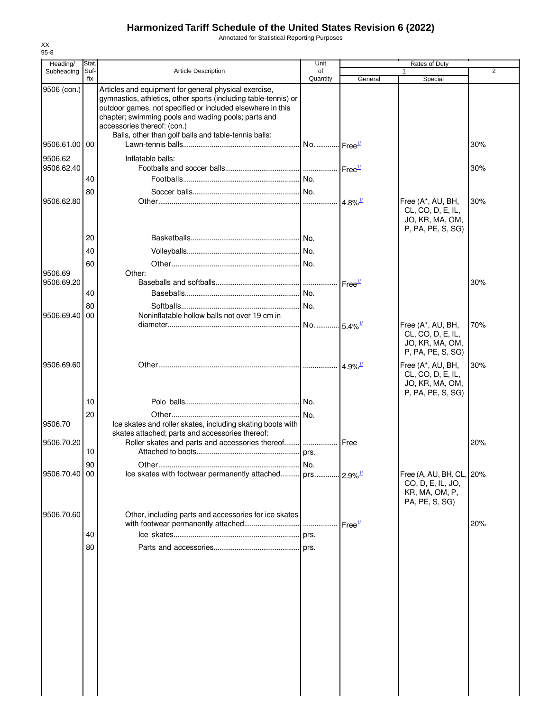Annotated for Statistical Reporting Purposes

| Heading/      | <b>Stat</b> |                                                                                                                                                                                                                                                                              | Unit                  |                       | Rates of Duty                                                                     |                |
|---------------|-------------|------------------------------------------------------------------------------------------------------------------------------------------------------------------------------------------------------------------------------------------------------------------------------|-----------------------|-----------------------|-----------------------------------------------------------------------------------|----------------|
| Subheading    | Suf-<br>fix | <b>Article Description</b>                                                                                                                                                                                                                                                   | of<br>Quantity        | General               | Special                                                                           | $\overline{2}$ |
| 9506 (con.)   |             | Articles and equipment for general physical exercise,<br>gymnastics, athletics, other sports (including table-tennis) or<br>outdoor games, not specified or included elsewhere in this<br>chapter; swimming pools and wading pools; parts and<br>accessories thereof: (con.) |                       |                       |                                                                                   |                |
| 9506.61.00 00 |             | Balls, other than golf balls and table-tennis balls:                                                                                                                                                                                                                         | No Free <sup>1/</sup> |                       |                                                                                   | 30%            |
| 9506.62       |             | Inflatable balls:                                                                                                                                                                                                                                                            |                       |                       |                                                                                   |                |
| 9506.62.40    |             |                                                                                                                                                                                                                                                                              |                       | Free <sup>1/</sup>    |                                                                                   | 30%            |
|               | 40          |                                                                                                                                                                                                                                                                              |                       |                       |                                                                                   |                |
|               | 80          |                                                                                                                                                                                                                                                                              |                       |                       |                                                                                   |                |
| 9506.62.80    |             |                                                                                                                                                                                                                                                                              |                       | $4.8\%$ <sup>1/</sup> | Free (A*, AU, BH,<br>CL, CO, D, E, IL,<br>JO, KR, MA, OM,<br>P, PA, PE, S, SG)    | 30%            |
|               | 20          |                                                                                                                                                                                                                                                                              |                       |                       |                                                                                   |                |
|               | 40          |                                                                                                                                                                                                                                                                              |                       |                       |                                                                                   |                |
|               | 60          |                                                                                                                                                                                                                                                                              |                       |                       |                                                                                   |                |
| 9506.69       |             | Other:                                                                                                                                                                                                                                                                       |                       |                       |                                                                                   |                |
| 9506.69.20    |             |                                                                                                                                                                                                                                                                              |                       | Free <sup>1/</sup>    |                                                                                   | 30%            |
|               | 40          |                                                                                                                                                                                                                                                                              |                       |                       |                                                                                   |                |
|               | 80          |                                                                                                                                                                                                                                                                              |                       |                       |                                                                                   |                |
| 9506.69.40    | 00          | Noninflatable hollow balls not over 19 cm in                                                                                                                                                                                                                                 | No                    | $5.4\%$ <sup>1/</sup> | Free (A*, AU, BH,<br>CL, CO, D, E, IL,<br>JO, KR, MA, OM,<br>P, PA, PE, S, SG)    | 70%            |
| 9506.69.60    |             |                                                                                                                                                                                                                                                                              |                       | $4.9\%$ <sup>1/</sup> | Free (A*, AU, BH,<br>CL, CO, D, E, IL,<br>JO, KR, MA, OM,                         | 30%            |
|               | 10          |                                                                                                                                                                                                                                                                              |                       |                       | P, PA, PE, S, SG)                                                                 |                |
|               | 20          |                                                                                                                                                                                                                                                                              |                       |                       |                                                                                   |                |
| 9506.70       |             | Ice skates and roller skates, including skating boots with<br>skates attached; parts and accessories thereof:                                                                                                                                                                |                       |                       |                                                                                   |                |
| 9506.70.20    | 10          | Roller skates and parts and accessories thereof                                                                                                                                                                                                                              | .                     | Free                  |                                                                                   | 20%            |
|               | 90          |                                                                                                                                                                                                                                                                              |                       |                       |                                                                                   |                |
| 9506.70.40    | 00          |                                                                                                                                                                                                                                                                              |                       |                       | Free (A, AU, BH, CL, 20%<br>CO, D, E, IL, JO,<br>KR, MA, OM, P,<br>PA, PE, S, SG) |                |
| 9506.70.60    |             | Other, including parts and accessories for ice skates                                                                                                                                                                                                                        |                       | Free <sup>1/</sup>    |                                                                                   | 20%            |
|               | 40          |                                                                                                                                                                                                                                                                              |                       |                       |                                                                                   |                |
|               | 80          |                                                                                                                                                                                                                                                                              |                       |                       |                                                                                   |                |
|               |             |                                                                                                                                                                                                                                                                              |                       |                       |                                                                                   |                |
|               |             |                                                                                                                                                                                                                                                                              |                       |                       |                                                                                   |                |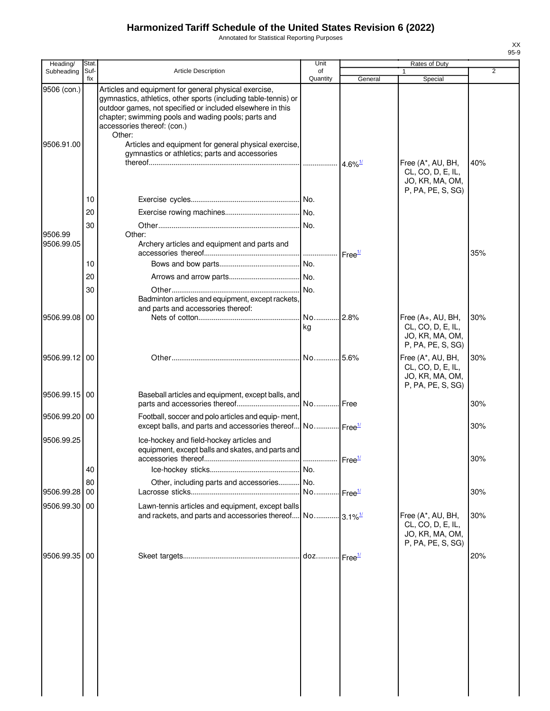Annotated for Statistical Reporting Purposes

| Heading/              | <b>Stat</b> |                                                                                                                                                                                                                                                                              | Unit                  |                       | Rates of Duty                                                                  |                |
|-----------------------|-------------|------------------------------------------------------------------------------------------------------------------------------------------------------------------------------------------------------------------------------------------------------------------------------|-----------------------|-----------------------|--------------------------------------------------------------------------------|----------------|
| Subheading            | Suf-<br>fix | <b>Article Description</b>                                                                                                                                                                                                                                                   | of<br>Quantity        | General               | Special                                                                        | $\overline{2}$ |
| 9506 (con.)           |             | Articles and equipment for general physical exercise,<br>gymnastics, athletics, other sports (including table-tennis) or<br>outdoor games, not specified or included elsewhere in this<br>chapter; swimming pools and wading pools; parts and<br>accessories thereof: (con.) |                       |                       |                                                                                |                |
| 9506.91.00            |             | Other:<br>Articles and equipment for general physical exercise,<br>gymnastics or athletics; parts and accessories                                                                                                                                                            |                       | $4.6\%$ <sup>1/</sup> | Free (A*, AU, BH,<br>CL, CO, D, E, IL,<br>JO, KR, MA, OM,                      | 40%            |
|                       |             |                                                                                                                                                                                                                                                                              |                       |                       | P, PA, PE, S, SG)                                                              |                |
|                       | 10          |                                                                                                                                                                                                                                                                              |                       |                       |                                                                                |                |
|                       | 20          |                                                                                                                                                                                                                                                                              |                       |                       |                                                                                |                |
| 9506.99<br>9506.99.05 | 30          | Other:<br>Archery articles and equipment and parts and                                                                                                                                                                                                                       |                       | Free <sup>1/</sup>    |                                                                                | 35%            |
|                       | 10          |                                                                                                                                                                                                                                                                              | No.                   |                       |                                                                                |                |
|                       | 20          |                                                                                                                                                                                                                                                                              |                       |                       |                                                                                |                |
|                       | 30          | Badminton articles and equipment, except rackets,<br>and parts and accessories thereof:                                                                                                                                                                                      |                       |                       |                                                                                |                |
| 9506.99.08            | 00          |                                                                                                                                                                                                                                                                              | No 2.8%<br>kg         |                       | Free (A+, AU, BH,<br>CL, CO, D, E, IL,<br>JO, KR, MA, OM,                      | 30%            |
|                       |             |                                                                                                                                                                                                                                                                              |                       |                       | P, PA, PE, S, SG)                                                              |                |
| 9506.99.12 00         |             |                                                                                                                                                                                                                                                                              | No 5.6%               |                       | Free (A*, AU, BH,<br>CL, CO, D, E, IL,<br>JO, KR, MA, OM,<br>P, PA, PE, S, SG) | 30%            |
| 9506.99.15 00         |             | Baseball articles and equipment, except balls, and                                                                                                                                                                                                                           |                       |                       |                                                                                | 30%            |
| 9506.99.20 00         |             | Football, soccer and polo articles and equip-ment,<br>except balls, and parts and accessories thereof No Free <sup>1/</sup>                                                                                                                                                  |                       |                       |                                                                                | 30%            |
| 9506.99.25            |             | Ice-hockey and field-hockey articles and<br>equipment, except balls and skates, and parts and                                                                                                                                                                                |                       |                       |                                                                                | 30%            |
|                       | 40          |                                                                                                                                                                                                                                                                              |                       |                       |                                                                                |                |
|                       | 80          | Other, including parts and accessories No.                                                                                                                                                                                                                                   |                       |                       |                                                                                |                |
| 9506.99.28            | 00          |                                                                                                                                                                                                                                                                              | No Free <sup>1/</sup> |                       |                                                                                | 30%            |
| 9506.99.30            | 00          | Lawn-tennis articles and equipment, except balls<br>and rackets, and parts and accessories thereof $\sim$ No 3.1% $\frac{1}{2}$                                                                                                                                              |                       |                       | Free (A*, AU, BH,<br>CL, CO, D, E, IL,<br>JO, KR, MA, OM,<br>P, PA, PE, S, SG) | 30%            |
| 9506.99.35 00         |             |                                                                                                                                                                                                                                                                              |                       |                       |                                                                                | 20%            |
|                       |             |                                                                                                                                                                                                                                                                              |                       |                       |                                                                                |                |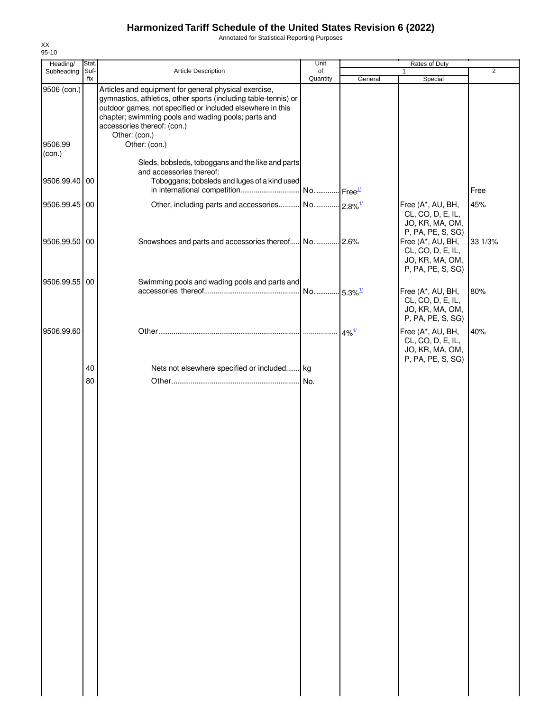Annotated for Statistical Reporting Purposes

| Heading/          | Stat.       |                                                                                                                                                                                                                                                                              | Unit           |                     | Rates of Duty                                                                                       |         |
|-------------------|-------------|------------------------------------------------------------------------------------------------------------------------------------------------------------------------------------------------------------------------------------------------------------------------------|----------------|---------------------|-----------------------------------------------------------------------------------------------------|---------|
| Subheading        | Suf-<br>fix | Article Description                                                                                                                                                                                                                                                          | of<br>Quantity | General             | 1<br>Special                                                                                        | 2       |
| 9506 (con.)       |             | Articles and equipment for general physical exercise,<br>gymnastics, athletics, other sports (including table-tennis) or<br>outdoor games, not specified or included elsewhere in this<br>chapter; swimming pools and wading pools; parts and<br>accessories thereof: (con.) |                |                     |                                                                                                     |         |
| 9506.99<br>(con.) |             | Other: (con.)<br>Other: (con.)<br>Sleds, bobsleds, toboggans and the like and parts                                                                                                                                                                                          |                |                     |                                                                                                     |         |
| 9506.99.40 00     |             | and accessories thereof:<br>Toboggans; bobsleds and luges of a kind used                                                                                                                                                                                                     |                |                     |                                                                                                     | Free    |
| 9506.99.45 00     |             | Other, including parts and accessories No 2.8% <sup>1/</sup>                                                                                                                                                                                                                 |                |                     | Free (A*, AU, BH,<br>CL, CO, D, E, IL,<br>JO, KR, MA, OM,                                           | 45%     |
| 9506.99.50 00     |             |                                                                                                                                                                                                                                                                              |                |                     | P, PA, PE, S, SG)<br>Free (A*, AU, BH,<br>CL, CO, D, E, IL,<br>JO, KR, MA, OM,<br>P, PA, PE, S, SG) | 33 1/3% |
| 9506.99.55 00     |             | Swimming pools and wading pools and parts and                                                                                                                                                                                                                                |                |                     | Free (A*, AU, BH,<br>CL, CO, D, E, IL,<br>JO, KR, MA, OM,<br>P, PA, PE, S, SG)                      | 80%     |
| 9506.99.60        |             |                                                                                                                                                                                                                                                                              |                | $4\%$ <sup>1/</sup> | Free (A*, AU, BH,<br>CL, CO, D, E, IL,<br>JO, KR, MA, OM,<br>P, PA, PE, S, SG)                      | 40%     |
|                   | 40          | Nets not elsewhere specified or included kg                                                                                                                                                                                                                                  |                |                     |                                                                                                     |         |
|                   | 80          |                                                                                                                                                                                                                                                                              | No.            |                     |                                                                                                     |         |
|                   |             |                                                                                                                                                                                                                                                                              |                |                     |                                                                                                     |         |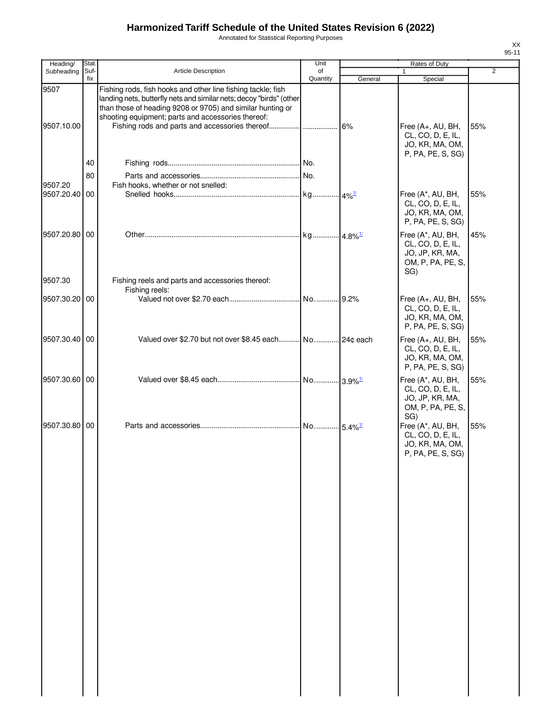Annotated for Statistical Reporting Purposes

| Heading/           | Stat.       |                                                                                                                                                                                                                                                         | Unit           |         | Rates of Duty                                                                         |     |
|--------------------|-------------|---------------------------------------------------------------------------------------------------------------------------------------------------------------------------------------------------------------------------------------------------------|----------------|---------|---------------------------------------------------------------------------------------|-----|
| Subheading         | Suf-<br>fix | <b>Article Description</b>                                                                                                                                                                                                                              | of<br>Quantity | General | Special                                                                               | 2   |
| 9507<br>9507.10.00 |             | Fishing rods, fish hooks and other line fishing tackle; fish<br>landing nets, butterfly nets and similar nets; decoy "birds" (other<br>than those of heading 9208 or 9705) and similar hunting or<br>shooting equipment; parts and accessories thereof: |                |         | Free (A+, AU, BH,<br>CL, CO, D, E, IL,<br>JO, KR, MA, OM,                             | 55% |
|                    |             |                                                                                                                                                                                                                                                         |                |         | P, PA, PE, S, SG)                                                                     |     |
|                    | 40          |                                                                                                                                                                                                                                                         |                |         |                                                                                       |     |
|                    | 80          |                                                                                                                                                                                                                                                         |                |         |                                                                                       |     |
| 9507.20            |             | Fish hooks, whether or not snelled:                                                                                                                                                                                                                     |                |         |                                                                                       |     |
| 9507.20.40 00      |             |                                                                                                                                                                                                                                                         |                |         | Free (A*, AU, BH,<br>CL, CO, D, E, IL,<br>JO, KR, MA, OM,<br>P, PA, PE, S, SG)        | 55% |
| 9507.20.80 00      |             |                                                                                                                                                                                                                                                         |                |         | Free (A*, AU, BH,<br>CL, CO, D, E, IL,<br>JO, JP, KR, MA,<br>OM, P, PA, PE, S,<br>SG) | 45% |
| 9507.30            |             | Fishing reels and parts and accessories thereof:                                                                                                                                                                                                        |                |         |                                                                                       |     |
|                    |             | Fishing reels:                                                                                                                                                                                                                                          |                |         |                                                                                       |     |
| 9507.30.20 00      |             |                                                                                                                                                                                                                                                         |                |         | Free (A+, AU, BH,<br>CL, CO, D, E, IL,<br>JO, KR, MA, OM,<br>P, PA, PE, S, SG)        | 55% |
| 9507.30.40 00      |             | Valued over \$2.70 but not over \$8.45 each No 24¢ each                                                                                                                                                                                                 |                |         | Free (A+, AU, BH,<br>CL, CO, D, E, IL,<br>JO, KR, MA, OM,<br>P, PA, PE, S, SG)        | 55% |
| 9507.30.60 00      |             |                                                                                                                                                                                                                                                         |                |         | Free (A*, AU, BH,<br>CL, CO, D, E, IL,<br>JO, JP, KR, MA,<br>OM, P, PA, PE, S,<br>SG) | 55% |
| 9507.30.80 00      |             |                                                                                                                                                                                                                                                         |                |         | Free (A*, AU, BH,<br>CL, CO, D, E, IL,<br>JO, KR, MA, OM,<br>P, PA, PE, S, SG)        | 55% |
|                    |             |                                                                                                                                                                                                                                                         |                |         |                                                                                       |     |
|                    |             |                                                                                                                                                                                                                                                         |                |         |                                                                                       |     |
|                    |             |                                                                                                                                                                                                                                                         |                |         |                                                                                       |     |
|                    |             |                                                                                                                                                                                                                                                         |                |         |                                                                                       |     |
|                    |             |                                                                                                                                                                                                                                                         |                |         |                                                                                       |     |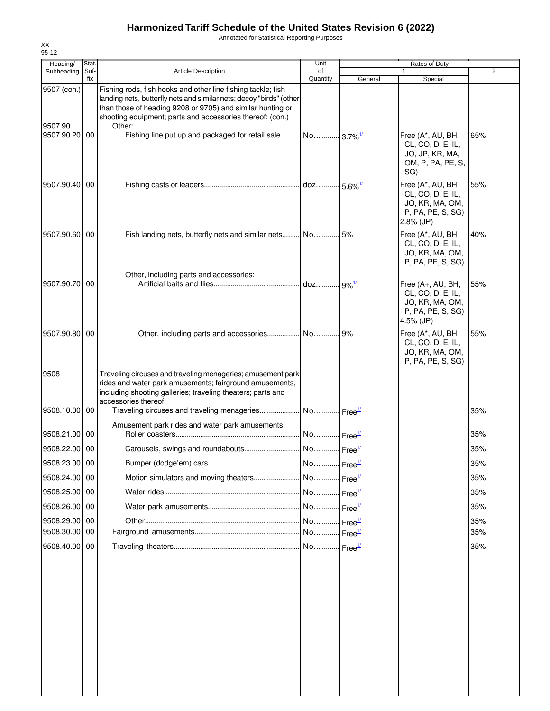Annotated for Statistical Reporting Purposes

| 95-12<br>Heading/        | Stat.       |                                                                                                                                                                                                                                                                | Unit                  |         | Rates of Duty                                                                                  |     |
|--------------------------|-------------|----------------------------------------------------------------------------------------------------------------------------------------------------------------------------------------------------------------------------------------------------------------|-----------------------|---------|------------------------------------------------------------------------------------------------|-----|
| Subheading               | Suf-<br>fix | <b>Article Description</b>                                                                                                                                                                                                                                     | of<br>Quantity        | General | Special                                                                                        | 2   |
| 9507 (con.)              |             | Fishing rods, fish hooks and other line fishing tackle; fish<br>landing nets, butterfly nets and similar nets; decoy "birds" (other<br>than those of heading 9208 or 9705) and similar hunting or<br>shooting equipment; parts and accessories thereof: (con.) |                       |         |                                                                                                |     |
| 9507.90<br>9507.90.20 00 |             | Other:<br>Fishing line put up and packaged for retail sale No 3.7% <sup>1/</sup>                                                                                                                                                                               |                       |         | Free (A*, AU, BH,<br>CL, CO, D, E, IL,<br>JO, JP, KR, MA,<br>OM, P, PA, PE, S,<br>SG)          | 65% |
| 9507.90.40 00            |             |                                                                                                                                                                                                                                                                |                       |         | Free (A*, AU, BH,<br>CL, CO, D, E, IL,<br>JO, KR, MA, OM,<br>P, PA, PE, S, SG)<br>$2.8\%$ (JP) | 55% |
| 9507.90.60 00            |             | Fish landing nets, butterfly nets and similar nets No 5%                                                                                                                                                                                                       |                       |         | Free (A*, AU, BH,<br>CL, CO, D, E, IL,<br>JO, KR, MA, OM,<br>P, PA, PE, S, SG)                 | 40% |
| 9507.90.70 00            |             | Other, including parts and accessories:                                                                                                                                                                                                                        |                       |         | Free (A+, AU, BH,<br>CL, CO, D, E, IL,<br>JO, KR, MA, OM,<br>P, PA, PE, S, SG)<br>4.5% (JP)    | 55% |
| 9507.90.80 00            |             | Other, including parts and accessories No 9%                                                                                                                                                                                                                   |                       |         | Free (A*, AU, BH,<br>CL, CO, D, E, IL,<br>JO, KR, MA, OM,<br>P, PA, PE, S, SG)                 | 55% |
| 9508                     |             | Traveling circuses and traveling menageries; amusement park<br>rides and water park amusements; fairground amusements,<br>including shooting galleries; traveling theaters; parts and<br>accessories thereof:                                                  |                       |         |                                                                                                |     |
| 9508.10.00 00            |             |                                                                                                                                                                                                                                                                |                       |         |                                                                                                | 35% |
| 9508.21.00 00            |             | Amusement park rides and water park amusements:                                                                                                                                                                                                                | No Free <sup>1/</sup> |         |                                                                                                | 35% |
| 9508.22.00 00            |             |                                                                                                                                                                                                                                                                |                       |         |                                                                                                | 35% |
| 9508.23.00 00            |             |                                                                                                                                                                                                                                                                |                       |         |                                                                                                | 35% |
| 9508.24.00 00            |             |                                                                                                                                                                                                                                                                |                       |         |                                                                                                | 35% |
| 9508.25.00 00            |             |                                                                                                                                                                                                                                                                |                       |         |                                                                                                | 35% |
| 9508.26.00 00            |             |                                                                                                                                                                                                                                                                |                       |         |                                                                                                | 35% |
| 9508.29.00 00            |             |                                                                                                                                                                                                                                                                |                       |         |                                                                                                | 35% |
| 9508.30.00 00            |             |                                                                                                                                                                                                                                                                |                       |         |                                                                                                | 35% |
| 9508.40.00 00            |             |                                                                                                                                                                                                                                                                |                       |         |                                                                                                | 35% |

XX